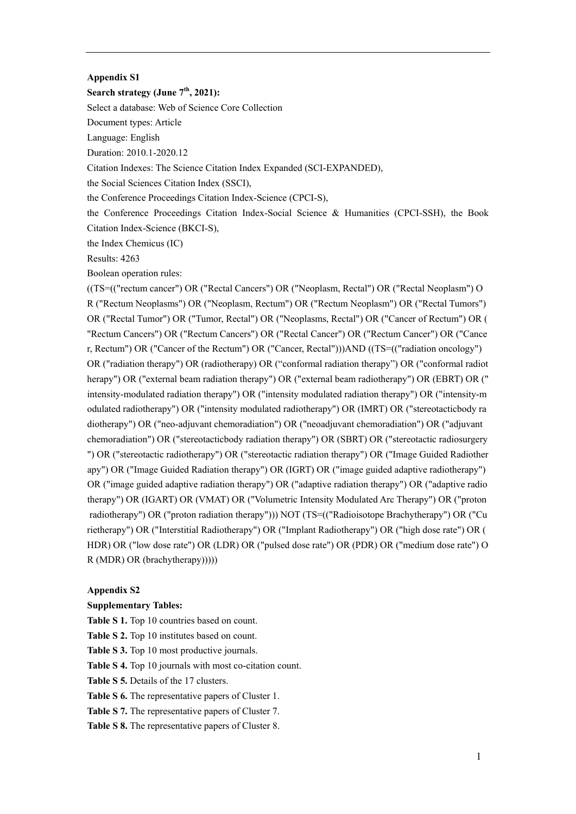## **Appendix S1**

## **Search strategy (June 7th, 2021):**

Select a database: Web of Science Core Collection

Document types: Article

Language: English

Duration: 2010.1-2020.12

Citation Indexes: The Science Citation Index Expanded (SCI-EXPANDED),

the Social Sciences Citation Index (SSCI),

the Conference Proceedings Citation Index-Science (CPCI-S),

the Conference Proceedings Citation Index-Social Science & Humanities (CPCI-SSH), the Book Citation Index-Science (BKCI-S),

the Index Chemicus (IC)

Results: 4263

Boolean operation rules:

((TS=(("rectum cancer") OR ("Rectal Cancers") OR ("Neoplasm, Rectal") OR ("Rectal Neoplasm") O R ("Rectum Neoplasms") OR ("Neoplasm, Rectum") OR ("Rectum Neoplasm") OR ("Rectal Tumors") OR ("Rectal Tumor") OR ("Tumor, Rectal") OR ("Neoplasms, Rectal") OR ("Cancer of Rectum") OR ( "Rectum Cancers") OR ("Rectum Cancers") OR ("Rectal Cancer") OR ("Rectum Cancer") OR ("Cance r, Rectum") OR ("Cancer of the Rectum") OR ("Cancer, Rectal")))AND ((TS=(("radiation oncology") OR ("radiation therapy") OR (radiotherapy) OR ("conformal radiation therapy") OR ("conformal radiot herapy") OR ("external beam radiation therapy") OR ("external beam radiotherapy") OR (EBRT) OR (" intensity-modulated radiation therapy") OR ("intensity modulated radiation therapy") OR ("intensity-m odulated radiotherapy") OR ("intensity modulated radiotherapy") OR (IMRT) OR ("stereotacticbody ra diotherapy") OR ("neo-adjuvant chemoradiation") OR ("neoadjuvant chemoradiation") OR ("adjuvant chemoradiation") OR ("stereotacticbody radiation therapy") OR (SBRT) OR ("stereotactic radiosurgery ") OR ("stereotactic radiotherapy") OR ("stereotactic radiation therapy") OR ("Image Guided Radiother apy") OR ("Image Guided Radiation therapy") OR (IGRT) OR ("image guided adaptive radiotherapy") OR ("image guided adaptive radiation therapy") OR ("adaptive radiation therapy") OR ("adaptive radio therapy") OR (IGART) OR (VMAT) OR ("Volumetric Intensity Modulated Arc Therapy") OR ("proton radiotherapy") OR ("proton radiation therapy"))) NOT (TS=(("Radioisotope Brachytherapy") OR ("Cu rietherapy") OR ("Interstitial Radiotherapy") OR ("Implant Radiotherapy") OR ("high dose rate") OR ( HDR) OR ("low dose rate") OR (LDR) OR ("pulsed dose rate") OR (PDR) OR ("medium dose rate") O R (MDR) OR (brachytherapy)))))

## **Appendix S2**

## **Supplementary Tables:**

**Table S 1.** Top 10 countries based on count.

**Table S 2.** Top 10 institutes based on count.

**Table S 3.** Top 10 most productive journals.

**Table S 4.** Top 10 journals with most co-citation count.

**Table S 5.** Details of the 17 clusters.

**Table S 6.** The representative papers of Cluster 1.

**Table S 7.** The representative papers of Cluster 7.

**Table S 8.** The representative papers of Cluster 8.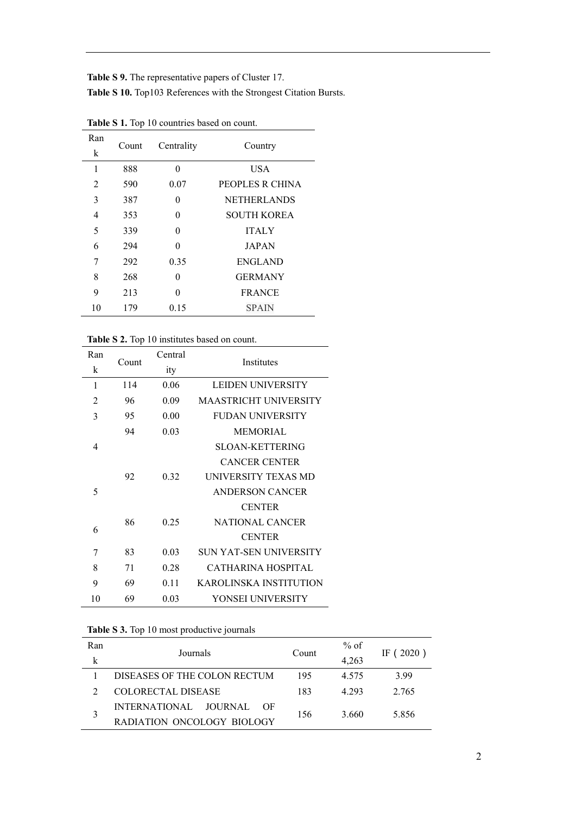**Table S 9.** The representative papers of Cluster 17. **Table S 10.** Top103 References with the Strongest Citation Bursts.

| Ran | Count | Centrality | Country            |  |
|-----|-------|------------|--------------------|--|
| k   |       |            |                    |  |
| 1   | 888   | 0          | <b>USA</b>         |  |
| 2   | 590   | 0.07       | PEOPLES R CHINA    |  |
| 3   | 387   | 0          | <b>NETHERLANDS</b> |  |
| 4   | 353   | 0          | <b>SOUTH KOREA</b> |  |
| 5   | 339   | 0          | <b>ITALY</b>       |  |
| 6   | 294   | $\Omega$   | <b>JAPAN</b>       |  |
| 7   | 292   | 0.35       | <b>ENGLAND</b>     |  |
| 8   | 268   | 0          | <b>GERMANY</b>     |  |
| 9   | 213   | 0          | <b>FRANCE</b>      |  |
| 10  | 179   | 0.15       | <b>SPAIN</b>       |  |

**Table S 1.** Top 10 countries based on count.

**Table S 2.** Top 10 institutes based on count.

| Ran | Count | Central | Institutes                   |
|-----|-------|---------|------------------------------|
| k   |       | ity     |                              |
| 1   | 114   | 0.06    | <b>LEIDEN UNIVERSITY</b>     |
| 2   | 96    | 0.09    | <b>MAASTRICHT UNIVERSITY</b> |
| 3   | 95    | 0.00    | <b>FUDAN UNIVERSITY</b>      |
|     | 94    | 0.03    | <b>MEMORIAL</b>              |
| 4   |       |         | <b>SLOAN-KETTERING</b>       |
|     |       |         | <b>CANCER CENTER</b>         |
|     | 92    | 0.32    | UNIVERSITY TEXAS MD          |
| 5   |       |         | <b>ANDERSON CANCER</b>       |
|     |       |         | <b>CENTER</b>                |
| 6   | 86    | 0.25    | <b>NATIONAL CANCER</b>       |
|     |       |         | <b>CENTER</b>                |
| 7   | 83    | 0.03    | SUN YAT-SEN UNIVERSITY       |
| 8   | 71    | 0.28    | CATHARINA HOSPITAL           |
| 9   | 69    | 0.11    | KAROLINSKA INSTITUTION       |
| 10  | 69    | 0.03    | YONSEI UNIVERSITY            |

**Table S 3.** Top 10 most productive journals

| Ran | Journals                      | Count | $%$ of |              |  |
|-----|-------------------------------|-------|--------|--------------|--|
|     |                               |       | 4,263  | (2020)<br>ΙF |  |
|     | DISEASES OF THE COLON RECTUM  | 195   | 4.575  | 3.99         |  |
|     | COLORECTAL DISEASE            | 183   | 4.293  | 2.765        |  |
| 3   | INTERNATIONAL JOURNAL<br>– OF |       | 3.660  |              |  |
|     | RADIATION ONCOLOGY BIOLOGY    | 156   |        | 5.856        |  |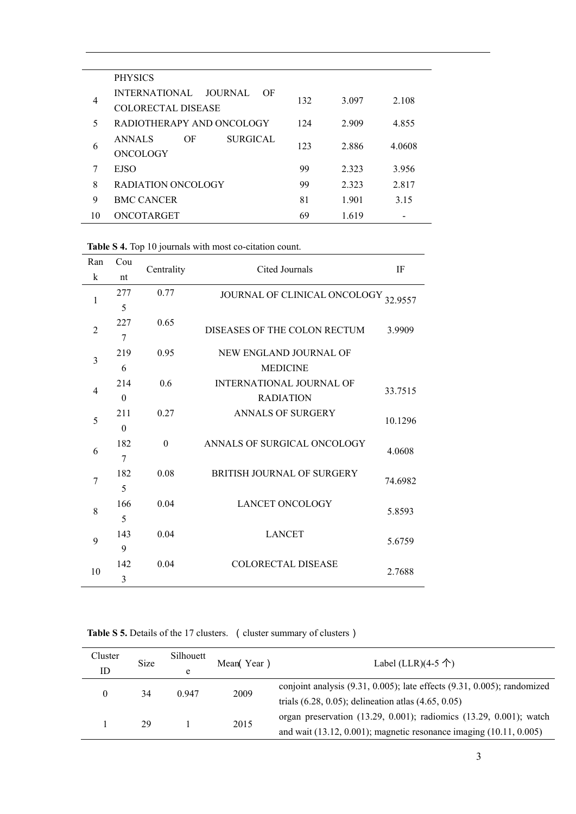|                | <b>PHYSICS</b>                                                     |     |       |        |
|----------------|--------------------------------------------------------------------|-----|-------|--------|
| $\overline{4}$ | <b>INTERNATIONAL</b><br>JOURNAL<br>OF<br><b>COLORECTAL DISEASE</b> | 132 | 3.097 | 2.108  |
| 5              | RADIOTHERAPY AND ONCOLOGY                                          | 124 | 2.909 | 4.855  |
| 6              | ΟF<br><b>SURGICAL</b><br><b>ANNALS</b><br>ONCOLOGY                 | 123 | 2.886 | 4.0608 |
| 7              | <b>EJSO</b>                                                        | 99  | 2.323 | 3.956  |
| 8              | RADIATION ONCOLOGY                                                 | 99  | 2.323 | 2.817  |
| 9              | <b>BMC CANCER</b>                                                  | 81  | 1.901 | 3.15   |
| 10             | ONCOTARGET                                                         | 69  | 1.619 |        |

**Table S 4.** Top 10 journals with most co-citation count.

| Ran            | Cou      | Centrality | Cited Journals<br>IF                 |         |
|----------------|----------|------------|--------------------------------------|---------|
| k              | nt       |            |                                      |         |
|                | 277      | 0.77       | JOURNAL OF CLINICAL ONCOLOGY 32.9557 |         |
| 1              | 5        |            |                                      |         |
|                | 227      | 0.65       |                                      |         |
| $\overline{2}$ | 7        |            | DISEASES OF THE COLON RECTUM         | 3.9909  |
| $\overline{3}$ | 219      | 0.95       | NEW ENGLAND JOURNAL OF               |         |
|                | 6        |            | <b>MEDICINE</b>                      |         |
|                | 214      | 0.6        | INTERNATIONAL JOURNAL OF             |         |
| $\overline{4}$ | $\theta$ |            | <b>RADIATION</b>                     | 33.7515 |
|                | 211      | 0.27       | <b>ANNALS OF SURGERY</b>             |         |
| 5<br>$\theta$  |          |            |                                      | 10.1296 |
|                | 182      | $\theta$   | ANNALS OF SURGICAL ONCOLOGY          |         |
| 6              | 7        |            |                                      | 4.0608  |
|                | 182      | 0.08       | <b>BRITISH JOURNAL OF SURGERY</b>    |         |
| 7              | 5        |            |                                      | 74.6982 |
|                | 166      | 0.04       | <b>LANCET ONCOLOGY</b>               |         |
| 8              | 5        |            |                                      | 5.8593  |
|                | 143      | 0.04       | <b>LANCET</b>                        |         |
| 9              | 9        |            |                                      | 5.6759  |
|                | 142      | 0.04       | <b>COLORECTAL DISEASE</b>            |         |
| 10             | 3        |            |                                      | 2.7688  |

Table S 5. Details of the 17 clusters. (cluster summary of clusters)

| Cluster<br>ID | <b>Size</b> | Silhouett<br>e | Mean(Year) | Label (LLR) $(4-5 \uparrow)$                                                                                                                        |
|---------------|-------------|----------------|------------|-----------------------------------------------------------------------------------------------------------------------------------------------------|
|               | 34          | 0.947          | 2009       | conjoint analysis $(9.31, 0.005)$ ; late effects $(9.31, 0.005)$ ; randomized<br>trials $(6.28, 0.05)$ ; delineation atlas $(4.65, 0.05)$           |
|               | 29          |                | 2015       | organ preservation $(13.29, 0.001)$ ; radiomics $(13.29, 0.001)$ ; watch<br>and wait $(13.12, 0.001)$ ; magnetic resonance imaging $(10.11, 0.005)$ |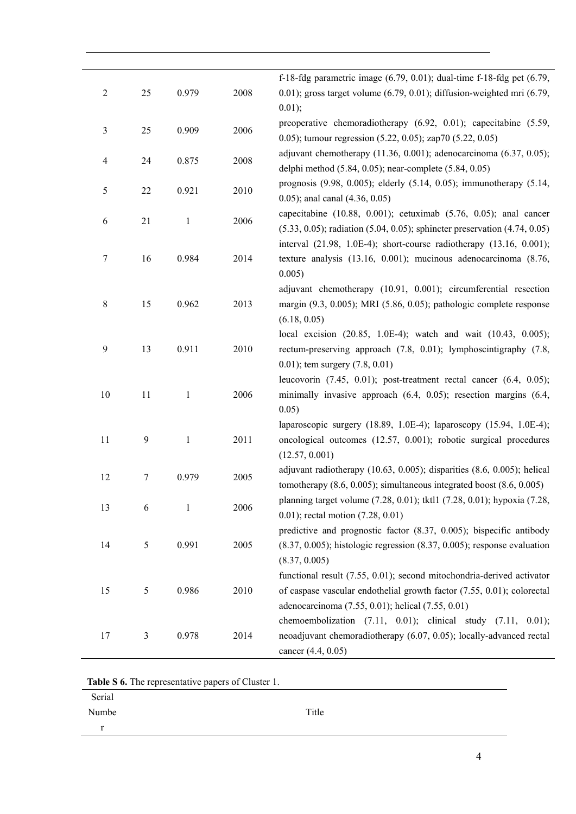| $\mathfrak{2}$   | 25           | 0.979        | 2008 | f-18-fdg parametric image $(6.79, 0.01)$ ; dual-time f-18-fdg pet $(6.79, 0.01)$<br>$(0.01)$ ; gross target volume $(6.79, 0.01)$ ; diffusion-weighted mri $(6.79, 0.01)$<br>0.01);                  |
|------------------|--------------|--------------|------|------------------------------------------------------------------------------------------------------------------------------------------------------------------------------------------------------|
| 3                | 25           | 0.909        | 2006 | preoperative chemoradiotherapy (6.92, 0.01); capecitabine (5.59,<br>0.05); tumour regression $(5.22, 0.05)$ ; zap70 $(5.22, 0.05)$                                                                   |
| $\overline{4}$   | 24           | 0.875        | 2008 | adjuvant chemotherapy $(11.36, 0.001)$ ; adenocarcinoma $(6.37, 0.05)$ ;<br>delphi method (5.84, 0.05); near-complete (5.84, 0.05)                                                                   |
| 5                | 22           | 0.921        | 2010 | prognosis (9.98, 0.005); elderly (5.14, 0.05); immunotherapy (5.14,<br>$(0.05)$ ; anal canal $(4.36, 0.05)$                                                                                          |
| 6                | 21           | $\mathbf{1}$ | 2006 | capecitabine $(10.88, 0.001)$ ; cetuximab $(5.76, 0.05)$ ; anal cancer<br>$(5.33, 0.05)$ ; radiation $(5.04, 0.05)$ ; sphincter preservation $(4.74, 0.05)$                                          |
| 7                | 16           | 0.984        | 2014 | interval (21.98, 1.0E-4); short-course radiotherapy (13.16, 0.001);<br>texture analysis (13.16, 0.001); mucinous adenocarcinoma (8.76,<br>0.005)                                                     |
| $\,8\,$          | 15           | 0.962        | 2013 | adjuvant chemotherapy (10.91, 0.001); circumferential resection<br>margin $(9.3, 0.005)$ ; MRI $(5.86, 0.05)$ ; pathologic complete response<br>(6.18, 0.05)                                         |
| $\boldsymbol{9}$ | 13           | 0.911        | 2010 | local excision (20.85, 1.0E-4); watch and wait (10.43, 0.005);<br>rectum-preserving approach (7.8, 0.01); lymphoscintigraphy (7.8,<br>$(0.01)$ ; tem surgery $(7.8, 0.01)$                           |
| 10               | 11           | $\mathbf{1}$ | 2006 | leucovorin (7.45, 0.01); post-treatment rectal cancer (6.4, 0.05);<br>minimally invasive approach (6.4, 0.05); resection margins (6.4,<br>0.05)                                                      |
| 11               | $\mathbf{9}$ | $\mathbf{1}$ | 2011 | laparoscopic surgery (18.89, 1.0E-4); laparoscopy (15.94, 1.0E-4);<br>oncological outcomes (12.57, 0.001); robotic surgical procedures<br>(12.57, 0.001)                                             |
| 12               | 7            | 0.979        | 2005 | adjuvant radiotherapy $(10.63, 0.005)$ ; disparities $(8.6, 0.005)$ ; helical<br>tomotherapy $(8.6, 0.005)$ ; simultaneous integrated boost $(8.6, 0.005)$                                           |
| 13               | 6            | $\mathbf{1}$ | 2006 | planning target volume (7.28, 0.01); tktl1 (7.28, 0.01); hypoxia (7.28,<br>0.01); rectal motion (7.28, 0.01)                                                                                         |
| 14               | 5            | 0.991        | 2005 | predictive and prognostic factor $(8.37, 0.005)$ ; bispecific antibody<br>$(8.37, 0.005)$ ; histologic regression $(8.37, 0.005)$ ; response evaluation<br>(8.37, 0.005)                             |
| 15               | 5            | 0.986        | 2010 | functional result (7.55, 0.01); second mitochondria-derived activator<br>of caspase vascular endothelial growth factor (7.55, 0.01); colorectal<br>adenocarcinoma (7.55, 0.01); helical (7.55, 0.01) |
| 17               | 3            | 0.978        | 2014 | chemoembolization $(7.11, 0.01)$ ; clinical study $(7.11, 0.01)$ ;<br>neoadjuvant chemoradiotherapy (6.07, 0.05); locally-advanced rectal<br>cancer (4.4, 0.05)                                      |

**Table S 6.** The representative papers of Cluster 1.

| Serial    |       |
|-----------|-------|
| Numbe     | Title |
| $\bullet$ |       |
|           |       |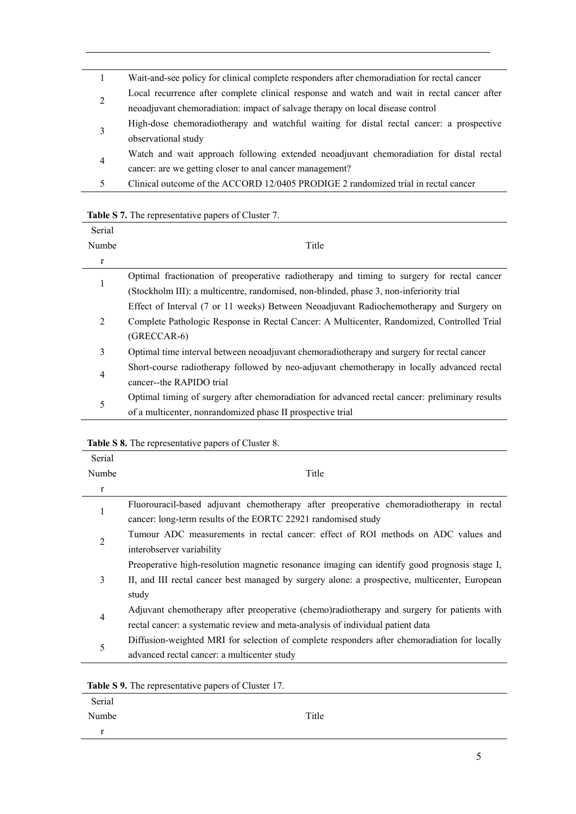|                | Wait-and-see policy for clinical complete responders after chemoradiation for rectal cancer |
|----------------|---------------------------------------------------------------------------------------------|
| $\overline{c}$ | Local recurrence after complete clinical response and watch and wait in rectal cancer after |
|                | neoadjuvant chemoradiation: impact of salvage therapy on local disease control              |
|                | High-dose chemoradiotherapy and watchful waiting for distal rectal cancer: a prospective    |
| 3              | observational study                                                                         |
|                | Watch and wait approach following extended neoadjuvant chemoradiation for distal rectal     |
| 4              | cancer: are we getting closer to anal cancer management?                                    |
|                | Clinical outcome of the ACCORD 12/0405 PRODIGE 2 randomized trial in rectal cancer          |

|  | Table S 7. The representative papers of Cluster 7. |  |  |
|--|----------------------------------------------------|--|--|
|  |                                                    |  |  |

| Serial |                                                                                                |
|--------|------------------------------------------------------------------------------------------------|
| Numbe  | Title                                                                                          |
| r      |                                                                                                |
|        | Optimal fractionation of preoperative radiotherapy and timing to surgery for rectal cancer     |
|        | (Stockholm III): a multicentre, randomised, non-blinded, phase 3, non-inferiority trial        |
|        | Effect of Interval (7 or 11 weeks) Between Neoadjuvant Radiochemotherapy and Surgery on        |
| 2      | Complete Pathologic Response in Rectal Cancer: A Multicenter, Randomized, Controlled Trial     |
|        | $(GRECCAR-6)$                                                                                  |
| 3      | Optimal time interval between neoadjuvant chemoradiotherapy and surgery for rectal cancer      |
| 4      | Short-course radiotherapy followed by neo-adjuvant chemotherapy in locally advanced rectal     |
|        | cancer--the RAPIDO trial                                                                       |
| 5      | Optimal timing of surgery after chemoradiation for advanced rectal cancer: preliminary results |
|        | of a multicenter, nonrandomized phase II prospective trial                                     |

| Serial |                                                                                               |
|--------|-----------------------------------------------------------------------------------------------|
| Numbe  | Title                                                                                         |
| r      |                                                                                               |
| 1      | Fluorouracil-based adjuvant chemotherapy after preoperative chemoradiotherapy in rectal       |
|        | cancer: long-term results of the EORTC 22921 randomised study                                 |
|        | Tumour ADC measurements in rectal cancer: effect of ROI methods on ADC values and             |
|        | interobserver variability                                                                     |
|        | Preoperative high-resolution magnetic resonance imaging can identify good prognosis stage I,  |
| 3      | II, and III rectal cancer best managed by surgery alone: a prospective, multicenter, European |
|        | study                                                                                         |
|        | Adjuvant chemotherapy after preoperative (chemo)radiotherapy and surgery for patients with    |
| 4      | rectal cancer: a systematic review and meta-analysis of individual patient data               |
|        | Diffusion-weighted MRI for selection of complete responders after chemoradiation for locally  |
| 5      | advanced rectal cancer: a multicenter study                                                   |

**Table S 9.** The representative papers of Cluster 17.

| <b>EXAMPLE 22</b> STREAM AND THE PURPLE OF CHANGE 17. |       |
|-------------------------------------------------------|-------|
| Serial                                                |       |
| Numbe                                                 | Title |
|                                                       |       |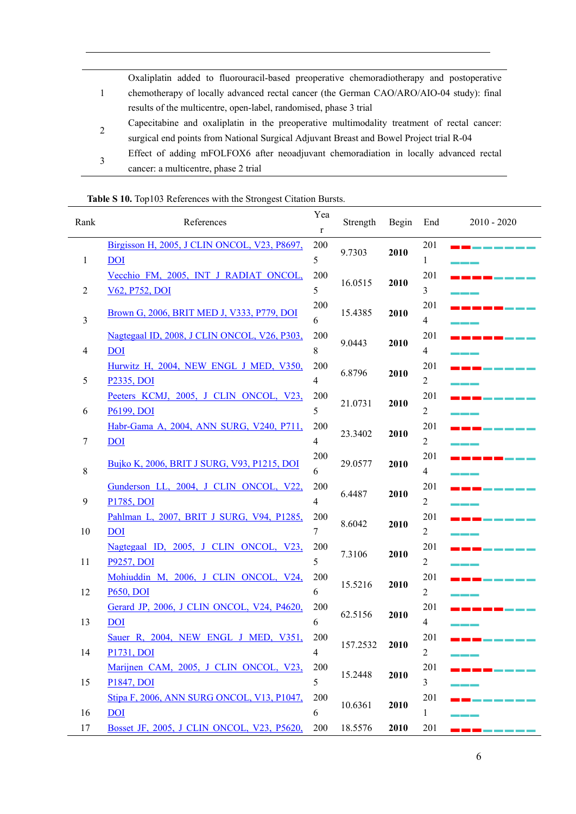|              | Oxaliplatin added to fluorouracil-based preoperative chemoradiotherapy and postoperative   |
|--------------|--------------------------------------------------------------------------------------------|
|              | chemotherapy of locally advanced rectal cancer (the German CAO/ARO/AIO-04 study): final    |
|              | results of the multicentre, open-label, randomised, phase 3 trial                          |
| 2            | Capecitabine and oxaliplatin in the preoperative multimodality treatment of rectal cancer: |
|              | surgical end points from National Surgical Adjuvant Breast and Bowel Project trial R-04    |
| $\mathbf{R}$ | Effect of adding mFOLFOX6 after neoadjuvant chemoradiation in locally advanced rectal      |
|              | cancer: a multicentre, phase 2 trial                                                       |

| Table S 10. Top103 References with the Strongest Citation Bursts. |  |
|-------------------------------------------------------------------|--|

|      | <b>Table 5 To.</b> TopTo3 References with the Subfigest Chatton Dursis. |                |          |       |                |                     |
|------|-------------------------------------------------------------------------|----------------|----------|-------|----------------|---------------------|
| Rank | References                                                              | Yea<br>r       | Strength | Begin | End            | $2010 - 2020$       |
|      | Birgisson H, 2005, J CLIN ONCOL, V23, P8697,                            | 200            |          |       | 201            |                     |
| 1    | <b>DOI</b>                                                              | 5              | 9.7303   | 2010  | 1              |                     |
|      | Vecchio FM, 2005, INT J RADIAT ONCOL,                                   | 200            |          |       | 201            |                     |
| 2    | V62, P752, DOI                                                          | 5              | 16.0515  | 2010  | $\overline{3}$ |                     |
|      |                                                                         | 200            |          |       | 201            |                     |
| 3    | Brown G, 2006, BRIT MED J, V333, P779, DOI                              | 6              | 15.4385  | 2010  | $\overline{4}$ |                     |
|      | Nagtegaal ID, 2008, J CLIN ONCOL, V26, P303,                            | 200            |          |       | 201            |                     |
| 4    | <b>DOI</b>                                                              | 8              | 9.0443   | 2010  | $\overline{4}$ |                     |
|      | Hurwitz H, 2004, NEW ENGL J MED, V350,                                  | 200            |          |       | 201            |                     |
| 5    | <b>P2335, DOI</b>                                                       | $\overline{4}$ | 6.8796   | 2010  | $\overline{2}$ |                     |
|      | Peeters KCMJ, 2005, J CLIN ONCOL, V23,                                  | 200            |          |       | 201            |                     |
| 6    | P6199, DOI                                                              | 5              | 21.0731  | 2010  | $\overline{2}$ |                     |
|      | Habr-Gama A, 2004, ANN SURG, V240, P711,                                | 200            |          |       | 201            |                     |
| 7    | DOI                                                                     | $\overline{4}$ | 23.3402  | 2010  | $\overline{2}$ |                     |
|      |                                                                         | 200            |          |       | 201            |                     |
| 8    | Bujko K, 2006, BRIT J SURG, V93, P1215, DOI                             | 6              | 29.0577  | 2010  | $\overline{4}$ |                     |
|      | Gunderson LL, 2004, J CLIN ONCOL, V22,                                  | 200            |          |       | 201            |                     |
| 9    | P1785, DOI                                                              | $\overline{4}$ | 6.4487   | 2010  | $\overline{2}$ |                     |
|      | Pahlman L, 2007, BRIT J SURG, V94, P1285,                               | 200            |          |       | 201            |                     |
| 10   | <b>DOI</b>                                                              | 7              | 8.6042   | 2010  | $\overline{2}$ |                     |
|      | Nagtegaal ID, 2005, J CLIN ONCOL, V23,                                  | 200            |          |       | 201            |                     |
| 11   | P9257, DOI                                                              | 5              | 7.3106   | 2010  | $\overline{2}$ |                     |
|      | Mohiuddin M, 2006, J CLIN ONCOL, V24,                                   | 200            |          |       | 201            |                     |
| 12   | <b>P650, DOI</b>                                                        | 6              | 15.5216  | 2010  | $\overline{2}$ |                     |
|      | Gerard JP, 2006, J CLIN ONCOL, V24, P4620,                              | 200            |          |       | 201            |                     |
| 13   | D <sub>0</sub>                                                          | 6              | 62.5156  | 2010  | 4              |                     |
|      | Sauer R, 2004, NEW ENGL J MED, V351,                                    | 200            |          |       | 201            |                     |
| 14   | P1731, DOI                                                              | 4              | 157.2532 | 2010  | $\overline{2}$ |                     |
|      | Marijnen CAM, 2005, J CLIN ONCOL, V23,                                  | 200            |          | 2010  | 201            |                     |
| 15   | P <sub>1847</sub> , DOI                                                 | 5              | 15.2448  |       | 3              |                     |
|      | Stipa F, 2006, ANN SURG ONCOL, V13, P1047,                              | 200            |          |       | 201            |                     |
| 16   | <b>DOI</b>                                                              | 6              | 10.6361  | 2010  | 1              |                     |
| 17   | Bosset JF, 2005, J CLIN ONCOL, V23, P5620,                              | 200            | 18.5576  | 2010  | 201            | <u> a shekara t</u> |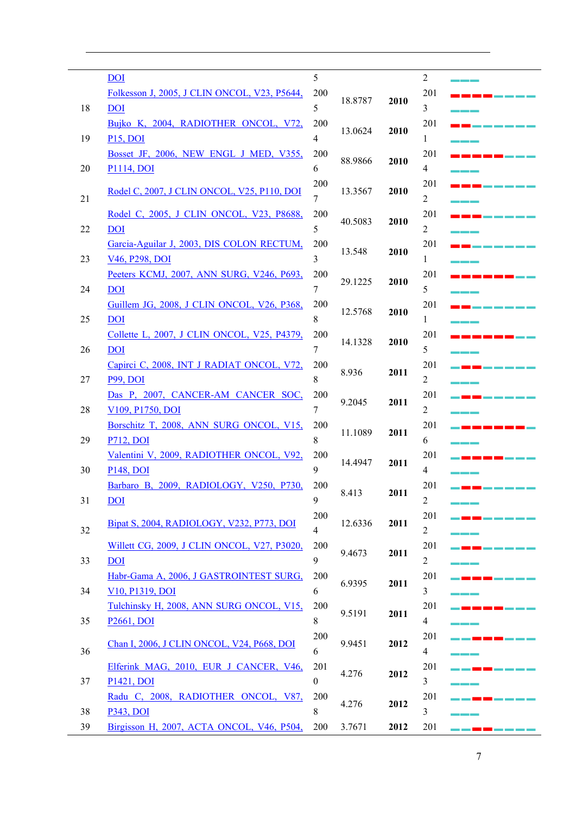|    | <u>DOI</u>                                        | 5            |         |      | $\overline{2}$ |  |
|----|---------------------------------------------------|--------------|---------|------|----------------|--|
|    | Folkesson J, 2005, J CLIN ONCOL, V23, P5644,      | 200          |         |      | 201            |  |
| 18 | <b>DOI</b>                                        | 5            | 18.8787 | 2010 | 3              |  |
|    | Bujko K, 2004, RADIOTHER ONCOL, V72,              | 200          |         |      | 201            |  |
| 19 | <b>P15, DOI</b>                                   | 4            | 13.0624 | 2010 | 1              |  |
|    | Bosset JF, 2006, NEW ENGL J MED, V355,            | 200          |         |      | 201            |  |
| 20 | <b>P1114, DOI</b>                                 | 6            | 88.9866 | 2010 | 4              |  |
|    |                                                   | 200          |         |      |                |  |
|    | Rodel C, 2007, J CLIN ONCOL, V25, P110, DOI       |              | 13.3567 | 2010 | 201            |  |
| 21 |                                                   | 7            |         |      | 2              |  |
|    | Rodel C, 2005, J CLIN ONCOL, V23, P8688,          | 200          | 40.5083 | 2010 | 201            |  |
| 22 | <u>DOI</u>                                        | 5            |         |      | $\overline{2}$ |  |
|    | Garcia-Aguilar J, 2003, DIS COLON RECTUM,         | 200          | 13.548  | 2010 | 201            |  |
| 23 | V46, P298, DOI                                    | 3            |         |      | 1              |  |
|    | Peeters KCMJ, 2007, ANN SURG, V246, P693,         | 200          | 29.1225 | 2010 | 201            |  |
| 24 | <b>DOI</b>                                        | 7            |         |      | 5              |  |
|    | <u>Guillem JG, 2008, J CLIN ONCOL, V26, P368,</u> | 200          |         |      | 201            |  |
| 25 | <b>DOI</b>                                        | 8            | 12.5768 | 2010 | 1              |  |
|    | Collette L, 2007, J CLIN ONCOL, V25, P4379,       | 200          |         |      | 201            |  |
| 26 | <b>DOI</b>                                        | 7            | 14.1328 | 2010 | 5              |  |
|    | Capirci C, 2008, INT J RADIAT ONCOL, V72,         | 200          |         |      | 201            |  |
| 27 | <b>P99, DOI</b>                                   | 8            | 8.936   | 2011 | 2              |  |
|    | Das P, 2007, CANCER-AM CANCER SOC,                | 200          |         |      | 201            |  |
|    |                                                   | 7            | 9.2045  | 2011 |                |  |
| 28 | V109, P1750, DOI                                  |              |         |      | $\overline{2}$ |  |
|    | Borschitz T, 2008, ANN SURG ONCOL, V15,           | 200          | 11.1089 | 2011 | 201            |  |
| 29 | <b>P712, DOI</b>                                  | 8            |         |      | 6              |  |
|    | Valentini V, 2009, RADIOTHER ONCOL, V92,          | 200          | 14.4947 | 2011 | 201            |  |
| 30 | <b>P148, DOI</b>                                  | 9            |         |      | $\overline{4}$ |  |
|    | Barbaro B, 2009, RADIOLOGY, V250, P730,           | 200          | 8.413   | 2011 | 201            |  |
| 31 | $\underline{DOL}$                                 | 9            |         |      | Z              |  |
|    | Bipat S, 2004, RADIOLOGY, V232, P773, DOI         | 200          | 12.6336 | 2011 | 201            |  |
| 32 |                                                   | 4            |         |      | $\overline{2}$ |  |
|    | Willett CG, 2009, J CLIN ONCOL, V27, P3020,       | 200          |         |      | 201            |  |
| 33 | <b>DOI</b>                                        | 9            | 9.4673  | 2011 | $\overline{2}$ |  |
|    | Habr-Gama A, 2006, J GASTROINTEST SURG,           | 200          |         |      | 201            |  |
| 34 | V10, P1319, DOI                                   | 6            | 6.9395  | 2011 | 3              |  |
|    | Tulchinsky H, 2008, ANN SURG ONCOL, V15,          | 200          |         |      | 201            |  |
| 35 | <b>P2661, DOI</b>                                 | $\,8\,$      | 9.5191  | 2011 | 4              |  |
|    |                                                   | 200          |         |      | 201            |  |
|    | Chan I, 2006, J CLIN ONCOL, V24, P668, DOI        |              | 9.9451  | 2012 |                |  |
| 36 |                                                   | 6            |         |      | $\overline{4}$ |  |
|    | Elferink MAG, 2010, EUR J CANCER, V46,            | 201          | 4.276   | 2012 | 201            |  |
| 37 | P1421, DOI                                        | $\mathbf{0}$ |         |      | 3              |  |
|    | Radu C, 2008, RADIOTHER ONCOL, V87,               | 200          | 4.276   | 2012 | 201            |  |
| 38 | <b>P343, DOI</b>                                  | 8            |         |      | 3              |  |
| 39 | Birgisson H, 2007, ACTA ONCOL, V46, P504,         | 200          | 3.7671  | 2012 | 201            |  |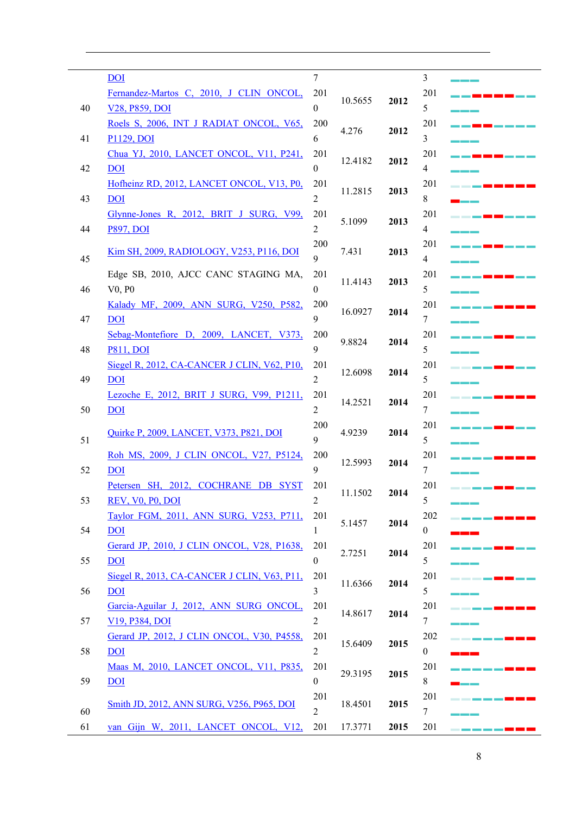|    | <b>DOI</b>                                           | $\overline{7}$   |         |      | $\mathfrak{Z}$   |  |
|----|------------------------------------------------------|------------------|---------|------|------------------|--|
|    | Fernandez-Martos C, 2010, J CLIN ONCOL,              | 201              |         | 2012 | 201              |  |
| 40 | V <sub>28</sub> , P <sub>859</sub> , DOI             | $\overline{0}$   | 10.5655 |      | 5                |  |
|    | Roels S, 2006, INT J RADIAT ONCOL, V65,              | 200              |         |      | 201              |  |
| 41 | P1129, DOI                                           | 6                | 4.276   | 2012 | 3                |  |
|    | Chua YJ, 2010, LANCET ONCOL, V11, P241,              | 201              |         |      | 201              |  |
| 42 | <b>DOI</b>                                           | $\boldsymbol{0}$ | 12.4182 | 2012 | 4                |  |
|    | Hofheinz RD, 2012, LANCET ONCOL, V13, P0,            | 201              |         |      | 201              |  |
| 43 | <b>DOI</b>                                           | 2                | 11.2815 | 2013 | 8                |  |
|    | Glynne-Jones R, 2012, BRIT J SURG, V99,              | 201              |         |      | 201              |  |
| 44 | <b>P897, DOI</b>                                     | $\overline{c}$   | 5.1099  | 2013 | 4                |  |
|    |                                                      | 200              |         |      | 201              |  |
| 45 | Kim SH, 2009, RADIOLOGY, V253, P116, DOI             | 9                | 7.431   | 2013 | $\overline{4}$   |  |
|    | Edge SB, 2010, AJCC CANC STAGING MA,                 | 201              |         |      | 201              |  |
| 46 | V0, P0                                               | $\theta$         | 11.4143 | 2013 | 5                |  |
|    | Kalady MF, 2009, ANN SURG, V250, P582,               | 200              |         |      | 201              |  |
| 47 | <b>DOI</b>                                           | 9                | 16.0927 | 2014 | $\tau$           |  |
|    | Sebag-Montefiore D, 2009, LANCET, V373,              | 200              |         |      | 201              |  |
| 48 | <b>P811, DOI</b>                                     | 9                | 9.8824  | 2014 | 5                |  |
|    | Siegel R, 2012, CA-CANCER J CLIN, V62, P10,          | 201              |         |      | 201              |  |
| 49 | <b>DOI</b>                                           | $\overline{c}$   | 12.6098 | 2014 | 5                |  |
|    | Lezoche E, 2012, BRIT J SURG, V99, P1211,            | 201              |         |      | 201              |  |
| 50 | <b>DOI</b>                                           | $\overline{c}$   | 14.2521 | 2014 | $\tau$           |  |
|    |                                                      | 200              |         |      | 201              |  |
| 51 | Quirke P, 2009, LANCET, V373, P821, DOI              | 9                | 4.9239  | 2014 | 5                |  |
|    | Roh MS, 2009, J CLIN ONCOL, V27, P5124,              | 200              |         |      | 201              |  |
| 52 | <b>DOI</b>                                           | 9                | 12.5993 | 2014 | 7                |  |
|    | Petersen SH, 2012, COCHRANE DB SYST                  | 201              |         |      | 201              |  |
| 53 | <b>REV, VO, PO, DOI</b>                              |                  | 11.1502 | 2014 | 5                |  |
|    | Taylor FGM, 2011, ANN SURG, V253, P711,              | 201              |         |      | 202              |  |
| 54 | <b>DOI</b>                                           | 1                | 5.1457  | 2014 | $\boldsymbol{0}$ |  |
|    | Gerard JP, 2010, J CLIN ONCOL, V28, P1638,           | 201              |         |      | 201              |  |
| 55 | <b>DOI</b>                                           | $\boldsymbol{0}$ | 2.7251  | 2014 | 5                |  |
|    | Siegel R, 2013, CA-CANCER J CLIN, V63, P11,          | 201              |         |      | 201              |  |
| 56 | <b>DOI</b>                                           | 3                | 11.6366 | 2014 | 5                |  |
|    | Garcia-Aguilar J, 2012, ANN SURG ONCOL,              | 201              |         |      | 201              |  |
| 57 | V <sub>19</sub> , P <sub>384</sub> , D <sub>OI</sub> | 2                | 14.8617 | 2014 | 7                |  |
|    | Gerard JP, 2012, J CLIN ONCOL, V30, P4558,           | 201              |         |      | 202              |  |
| 58 | <b>DOI</b>                                           | $\overline{c}$   | 15.6409 | 2015 | $\boldsymbol{0}$ |  |
|    | <u>Maas M, 2010, LANCET ONCOL, V11, P835,</u>        | 201              |         |      | 201              |  |
| 59 | <b>DOI</b>                                           | $\overline{0}$   | 29.3195 | 2015 | 8                |  |
|    |                                                      | 201              |         |      | 201              |  |
| 60 | <u>Smith JD, 2012, ANN SURG, V256, P965, DOI</u>     | $\overline{2}$   | 18.4501 | 2015 | $\tau$           |  |
| 61 | van Gijn W, 2011, LANCET ONCOL, V12,                 | 201              | 17.3771 | 2015 | 201              |  |
|    |                                                      |                  |         |      |                  |  |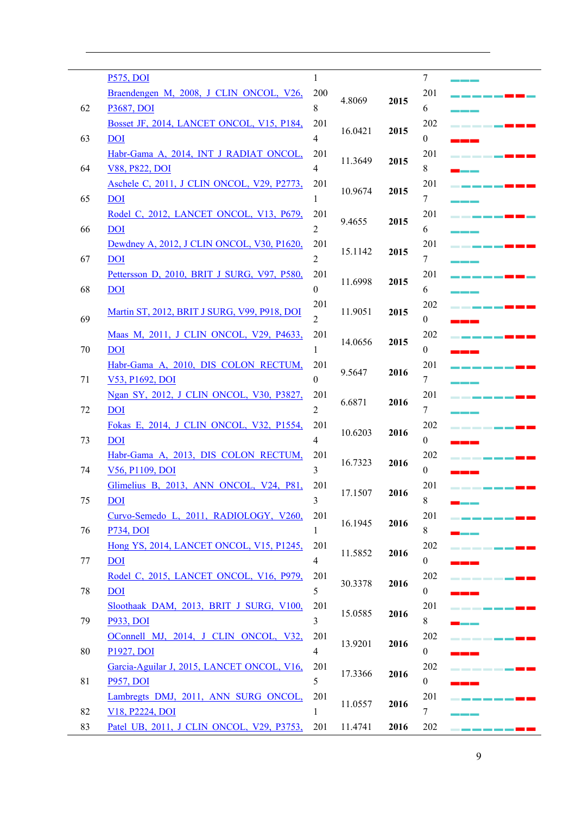|    | <b>P575, DOI</b>                                      | 1              |         |      | 7                |  |
|----|-------------------------------------------------------|----------------|---------|------|------------------|--|
|    | Braendengen M, 2008, J CLIN ONCOL, V26,               | 200            |         |      | 201              |  |
| 62 | <b>P3687, DOI</b>                                     | 8              | 4.8069  | 2015 | 6                |  |
|    | Bosset JF, 2014, LANCET ONCOL, V15, P184,             | 201            |         |      | 202              |  |
| 63 | <b>DOI</b>                                            | 4              | 16.0421 | 2015 | $\boldsymbol{0}$ |  |
|    | Habr-Gama A, 2014, INT J RADIAT ONCOL,                | 201            |         | 2015 | 201              |  |
| 64 | V88, P822, DOI                                        | 4              | 11.3649 |      | 8                |  |
|    | Aschele C, 2011, J CLIN ONCOL, V29, P2773,            | 201            |         | 2015 | 201              |  |
| 65 | <u>DOI</u>                                            | 1              | 10.9674 |      | 7                |  |
|    | Rodel C, 2012, LANCET ONCOL, V13, P679,               | 201            |         |      | 201              |  |
| 66 | <b>DOI</b>                                            | 2              | 9.4655  | 2015 | 6                |  |
|    | Dewdney A, 2012, J CLIN ONCOL, V30, P1620,            | 201            | 15.1142 |      | 201              |  |
| 67 | <b>DOI</b>                                            | $\overline{2}$ |         | 2015 | 7                |  |
|    | Pettersson D, 2010, BRIT J SURG, V97, P580,           | 201            | 11.6998 |      | 201              |  |
| 68 | <b>DOI</b>                                            | $\theta$       |         | 2015 | 6                |  |
|    | Martin ST, 2012, BRIT J SURG, V99, P918, DOI          | 201            | 11.9051 | 2015 | 202              |  |
| 69 |                                                       | 2              |         |      | $\boldsymbol{0}$ |  |
|    | Maas M, 2011, J CLIN ONCOL, V29, P4633,               | 201            | 14.0656 | 2015 | 202              |  |
| 70 | <u>DOI</u>                                            | 1              |         |      | $\mathbf{0}$     |  |
|    | Habr-Gama A, 2010, DIS COLON RECTUM,                  | 201            |         |      | 201              |  |
| 71 | V53, P1692, DOI                                       | $\theta$       | 9.5647  | 2016 | 7                |  |
|    | Ngan SY, 2012, J CLIN ONCOL, V30, P3827,              | 201            | 6.6871  |      | 201              |  |
| 72 | <b>DOI</b>                                            | $\overline{2}$ |         | 2016 | 7                |  |
|    | Fokas E, 2014, J CLIN ONCOL, V32, P1554,              | 201            |         |      | 202              |  |
| 73 | <b>DOI</b>                                            | 4              | 10.6203 | 2016 | $\overline{0}$   |  |
|    | Habr-Gama A, 2013, DIS COLON RECTUM,                  | 201            |         | 2016 | 202              |  |
| 74 | V56, P1109, DOI                                       | 3              | 16.7323 |      | 0                |  |
|    | Glimelius B, 2013, ANN ONCOL, V24, P81,               | 201            | 17.1507 |      | 201              |  |
| 75 | DOI                                                   |                |         | 2016 | 8                |  |
|    | Curvo-Semedo L, 2011, RADIOLOGY, V260,                | 201            |         |      | 201              |  |
| 76 | P734, DOI                                             | 1              | 16.1945 | 2016 | 8                |  |
|    | Hong YS, 2014, LANCET ONCOL, V15, P1245,              | 201            |         |      | 202              |  |
| 77 | <b>DOI</b>                                            | $\overline{4}$ | 11.5852 | 2016 | $\boldsymbol{0}$ |  |
|    | Rodel C, 2015, LANCET ONCOL, V16, P979,               | 201            |         |      | 202              |  |
| 78 | $\overline{DOI}$                                      | 5              | 30.3378 | 2016 | $\boldsymbol{0}$ |  |
|    | Sloothaak DAM, 2013, BRIT J SURG, V100,               | 201            |         |      | 201              |  |
| 79 | P933, DOI                                             | 3              | 15.0585 | 2016 | 8                |  |
|    | OConnell MJ, 2014, J CLIN ONCOL, V32,                 | 201            |         |      | 202              |  |
| 80 | P1927, DOI                                            | $\overline{4}$ | 13.9201 | 2016 | $\boldsymbol{0}$ |  |
|    | Garcia-Aguilar J, 2015, LANCET ONCOL, V16,            | 201            |         |      | 202              |  |
| 81 | P957, DOI                                             | 5              | 17.3366 | 2016 | $\boldsymbol{0}$ |  |
|    | Lambregts DMJ, 2011, ANN SURG ONCOL,                  | 201            |         |      | 201              |  |
| 82 | V <sub>18</sub> , P <sub>2224</sub> , D <sub>OI</sub> | 1              | 11.0557 | 2016 | 7                |  |
| 83 | Patel UB, 2011, J CLIN ONCOL, V29, P3753,             | 201            | 11.4741 | 2016 | 202              |  |

 $\overline{\phantom{0}}$